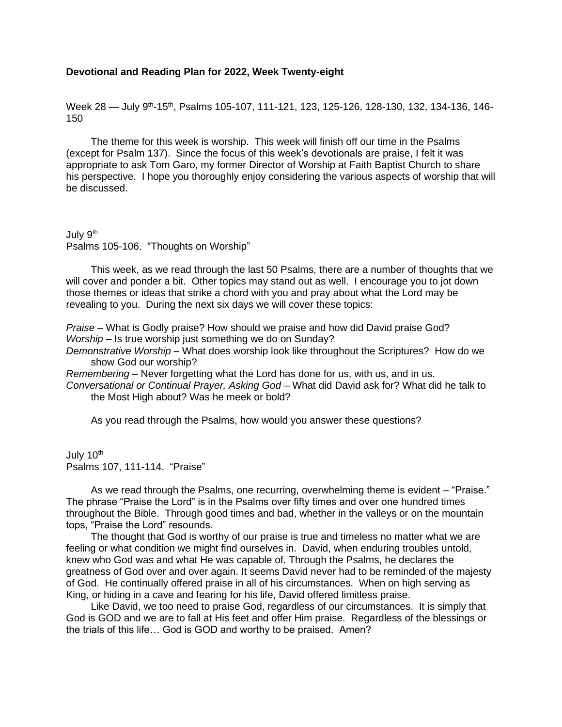## **Devotional and Reading Plan for 2022, Week Twenty-eight**

Week 28 — July 9<sup>th</sup>-15<sup>th</sup>, Psalms 105-107, 111-121, 123, 125-126, 128-130, 132, 134-136, 146-150

The theme for this week is worship. This week will finish off our time in the Psalms (except for Psalm 137). Since the focus of this week's devotionals are praise, I felt it was appropriate to ask Tom Garo, my former Director of Worship at Faith Baptist Church to share his perspective. I hope you thoroughly enjoy considering the various aspects of worship that will be discussed.

July 9<sup>th</sup> Psalms 105-106. "Thoughts on Worship"

This week, as we read through the last 50 Psalms, there are a number of thoughts that we will cover and ponder a bit. Other topics may stand out as well. I encourage you to jot down those themes or ideas that strike a chord with you and pray about what the Lord may be revealing to you. During the next six days we will cover these topics:

*Praise* – What is Godly praise? How should we praise and how did David praise God? *Worship* – Is true worship just something we do on Sunday?

*Demonstrative Worship* – What does worship look like throughout the Scriptures? How do we show God our worship?

*Remembering* – Never forgetting what the Lord has done for us, with us, and in us. *Conversational or Continual Prayer, Asking God* – What did David ask for? What did he talk to the Most High about? Was he meek or bold?

As you read through the Psalms, how would you answer these questions?

July 10<sup>th</sup> Psalms 107, 111-114. "Praise"

As we read through the Psalms, one recurring, overwhelming theme is evident – "Praise." The phrase "Praise the Lord" is in the Psalms over fifty times and over one hundred times throughout the Bible. Through good times and bad, whether in the valleys or on the mountain tops, "Praise the Lord" resounds.

The thought that God is worthy of our praise is true and timeless no matter what we are feeling or what condition we might find ourselves in. David, when enduring troubles untold, knew who God was and what He was capable of. Through the Psalms, he declares the greatness of God over and over again. It seems David never had to be reminded of the majesty of God. He continually offered praise in all of his circumstances. When on high serving as King, or hiding in a cave and fearing for his life, David offered limitless praise.

Like David, we too need to praise God, regardless of our circumstances. It is simply that God is GOD and we are to fall at His feet and offer Him praise. Regardless of the blessings or the trials of this life… God is GOD and worthy to be praised. Amen?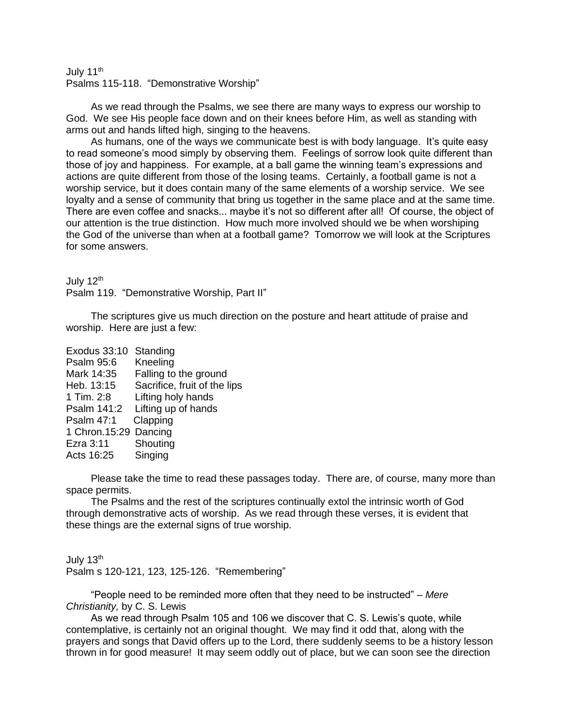## July 11<sup>th</sup> Psalms 115-118. "Demonstrative Worship"

As we read through the Psalms, we see there are many ways to express our worship to God. We see His people face down and on their knees before Him, as well as standing with arms out and hands lifted high, singing to the heavens.

As humans, one of the ways we communicate best is with body language. It's quite easy to read someone's mood simply by observing them. Feelings of sorrow look quite different than those of joy and happiness. For example, at a ball game the winning team's expressions and actions are quite different from those of the losing teams. Certainly, a football game is not a worship service, but it does contain many of the same elements of a worship service. We see loyalty and a sense of community that bring us together in the same place and at the same time. There are even coffee and snacks... maybe it's not so different after all! Of course, the object of our attention is the true distinction. How much more involved should we be when worshiping the God of the universe than when at a football game? Tomorrow we will look at the Scriptures for some answers.

July 12<sup>th</sup>

Psalm 119. "Demonstrative Worship, Part II"

The scriptures give us much direction on the posture and heart attitude of praise and worship. Here are just a few:

| Standing                     |
|------------------------------|
| Kneeling                     |
| Falling to the ground        |
| Sacrifice, fruit of the lips |
| Lifting holy hands           |
| Lifting up of hands          |
| Clapping                     |
| Dancing<br>1 Chron. 15:29    |
| Shouting                     |
| Singing                      |
|                              |

Please take the time to read these passages today. There are, of course, many more than space permits.

The Psalms and the rest of the scriptures continually extol the intrinsic worth of God through demonstrative acts of worship. As we read through these verses, it is evident that these things are the external signs of true worship.

July 13<sup>th</sup> Psalm s 120-121, 123, 125-126. "Remembering"

"People need to be reminded more often that they need to be instructed" – *Mere Christianity,* by C. S. Lewis

As we read through Psalm 105 and 106 we discover that C. S. Lewis's quote, while contemplative, is certainly not an original thought. We may find it odd that, along with the prayers and songs that David offers up to the Lord, there suddenly seems to be a history lesson thrown in for good measure! It may seem oddly out of place, but we can soon see the direction